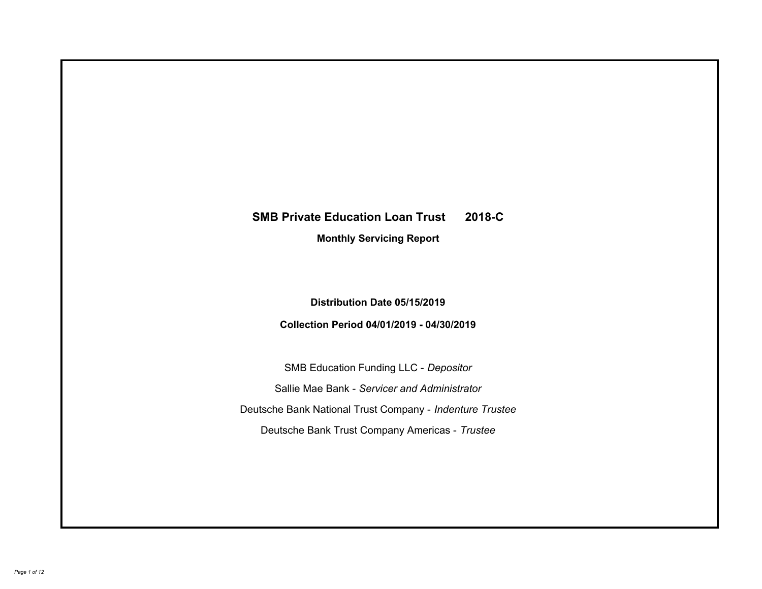# **SMB Private Education Loan Trust 2018-C Monthly Servicing Report**

## **Distribution Date 05/15/2019**

## **Collection Period 04/01/2019 - 04/30/2019**

SMB Education Funding LLC - *Depositor* Sallie Mae Bank - *Servicer and Administrator* Deutsche Bank National Trust Company - *Indenture Trustee* Deutsche Bank Trust Company Americas - *Trustee*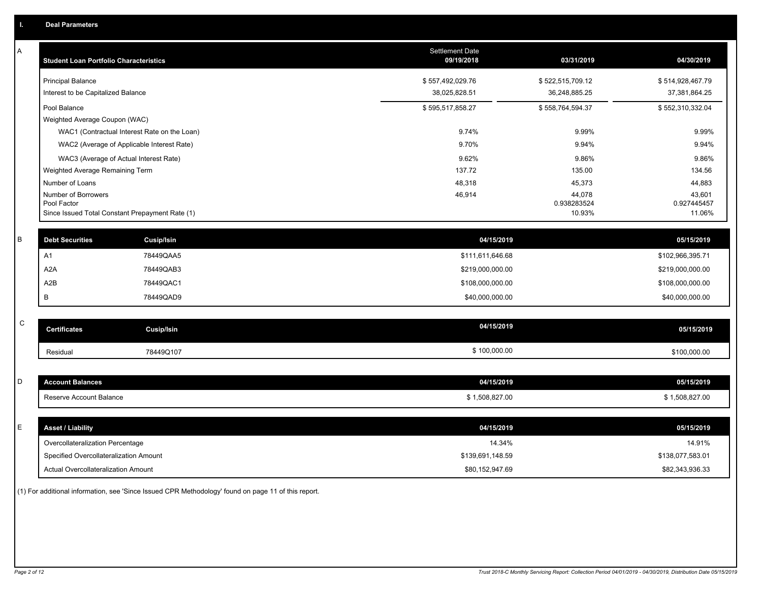| Α | <b>Student Loan Portfolio Characteristics</b>   |                   | <b>Settlement Date</b><br>09/19/2018 | 03/31/2019            | 04/30/2019            |
|---|-------------------------------------------------|-------------------|--------------------------------------|-----------------------|-----------------------|
|   | <b>Principal Balance</b>                        |                   | \$557,492,029.76                     | \$522,515,709.12      | \$514,928,467.79      |
|   | Interest to be Capitalized Balance              |                   | 38,025,828.51                        | 36,248,885.25         | 37,381,864.25         |
|   | Pool Balance                                    |                   | \$595,517,858.27                     | \$558,764,594.37      | \$552,310,332.04      |
|   | Weighted Average Coupon (WAC)                   |                   |                                      |                       |                       |
|   | WAC1 (Contractual Interest Rate on the Loan)    |                   | 9.74%                                | 9.99%                 | 9.99%                 |
|   | WAC2 (Average of Applicable Interest Rate)      |                   | 9.70%                                | 9.94%                 | 9.94%                 |
|   | WAC3 (Average of Actual Interest Rate)          |                   | 9.62%                                | 9.86%                 | 9.86%                 |
|   | Weighted Average Remaining Term                 |                   | 137.72                               | 135.00                | 134.56                |
|   | Number of Loans                                 |                   | 48,318                               | 45,373                | 44,883                |
|   | Number of Borrowers<br>Pool Factor              |                   | 46,914                               | 44,078<br>0.938283524 | 43,601<br>0.927445457 |
|   | Since Issued Total Constant Prepayment Rate (1) |                   |                                      | 10.93%                | 11.06%                |
|   |                                                 |                   |                                      |                       |                       |
| В | <b>Debt Securities</b>                          | <b>Cusip/Isin</b> | 04/15/2019                           |                       | 05/15/2019            |
|   | A <sub>1</sub>                                  | 78449QAA5         | \$111,611,646.68                     |                       | \$102,966,395.71      |
|   | A <sub>2</sub> A                                | 78449QAB3         | \$219,000,000.00                     |                       | \$219,000,000.00      |
|   | A <sub>2</sub> B                                | 78449QAC1         | \$108,000,000.00                     |                       | \$108,000,000.00      |
|   | B                                               | 78449QAD9         | \$40,000,000.00                      |                       | \$40,000,000.00       |
|   |                                                 |                   |                                      |                       |                       |
| C | <b>Certificates</b>                             | Cusip/Isin        | 04/15/2019                           |                       | 05/15/2019            |
|   | Residual                                        | 78449Q107         | \$100,000.00                         |                       | \$100,000.00          |
|   |                                                 |                   |                                      |                       |                       |
| D | <b>Account Balances</b>                         |                   | 04/15/2019                           |                       | 05/15/2019            |
|   | Reserve Account Balance                         |                   | \$1,508,827.00                       |                       | \$1,508,827.00        |
|   |                                                 |                   |                                      |                       |                       |
| Е | <b>Asset / Liability</b>                        |                   | 04/15/2019                           |                       | 05/15/2019            |
|   | Overcollateralization Percentage                |                   | 14.34%                               |                       | 14.91%                |
|   | Specified Overcollateralization Amount          |                   | \$139,691,148.59                     |                       | \$138,077,583.01      |
|   | <b>Actual Overcollateralization Amount</b>      |                   | \$80,152,947.69                      |                       | \$82,343,936.33       |
|   |                                                 |                   |                                      |                       |                       |

(1) For additional information, see 'Since Issued CPR Methodology' found on page 11 of this report.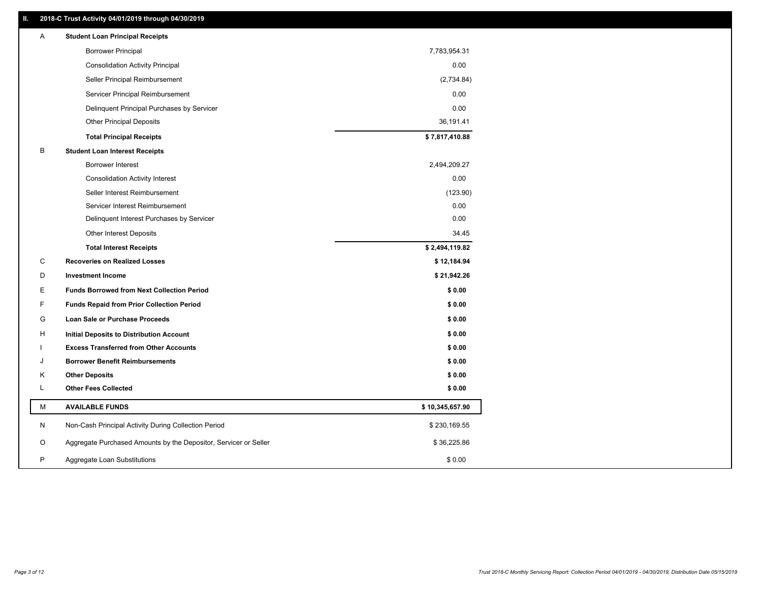#### **II. 2018-C Trust Activity 04/01/2019 through 04/30/2019**

| Α | <b>Student Loan Principal Receipts</b>                           |                 |  |
|---|------------------------------------------------------------------|-----------------|--|
|   | <b>Borrower Principal</b>                                        | 7,783,954.31    |  |
|   | <b>Consolidation Activity Principal</b>                          | 0.00            |  |
|   | Seller Principal Reimbursement                                   | (2,734.84)      |  |
|   | Servicer Principal Reimbursement                                 | 0.00            |  |
|   | Delinquent Principal Purchases by Servicer                       | 0.00            |  |
|   | <b>Other Principal Deposits</b>                                  | 36,191.41       |  |
|   | <b>Total Principal Receipts</b>                                  | \$7,817,410.88  |  |
| в | <b>Student Loan Interest Receipts</b>                            |                 |  |
|   | Borrower Interest                                                | 2,494,209.27    |  |
|   | <b>Consolidation Activity Interest</b>                           | 0.00            |  |
|   | Seller Interest Reimbursement                                    | (123.90)        |  |
|   | Servicer Interest Reimbursement                                  | 0.00            |  |
|   | Delinquent Interest Purchases by Servicer                        | 0.00            |  |
|   | <b>Other Interest Deposits</b>                                   | 34.45           |  |
|   | <b>Total Interest Receipts</b>                                   | \$2,494,119.82  |  |
| C | <b>Recoveries on Realized Losses</b>                             | \$12,184.94     |  |
| D | <b>Investment Income</b>                                         | \$21,942.26     |  |
| Е | <b>Funds Borrowed from Next Collection Period</b>                | \$0.00          |  |
| F | <b>Funds Repaid from Prior Collection Period</b>                 | \$0.00          |  |
| G | Loan Sale or Purchase Proceeds                                   | \$0.00          |  |
| н | Initial Deposits to Distribution Account                         | \$0.00          |  |
|   | <b>Excess Transferred from Other Accounts</b>                    | \$0.00          |  |
| J | <b>Borrower Benefit Reimbursements</b>                           | \$0.00          |  |
| Κ | <b>Other Deposits</b>                                            | \$0.00          |  |
| Г | <b>Other Fees Collected</b>                                      | \$0.00          |  |
| М | <b>AVAILABLE FUNDS</b>                                           | \$10,345,657.90 |  |
| N | Non-Cash Principal Activity During Collection Period             | \$230,169.55    |  |
| O | Aggregate Purchased Amounts by the Depositor, Servicer or Seller | \$36,225.86     |  |
| P | Aggregate Loan Substitutions                                     | \$0.00          |  |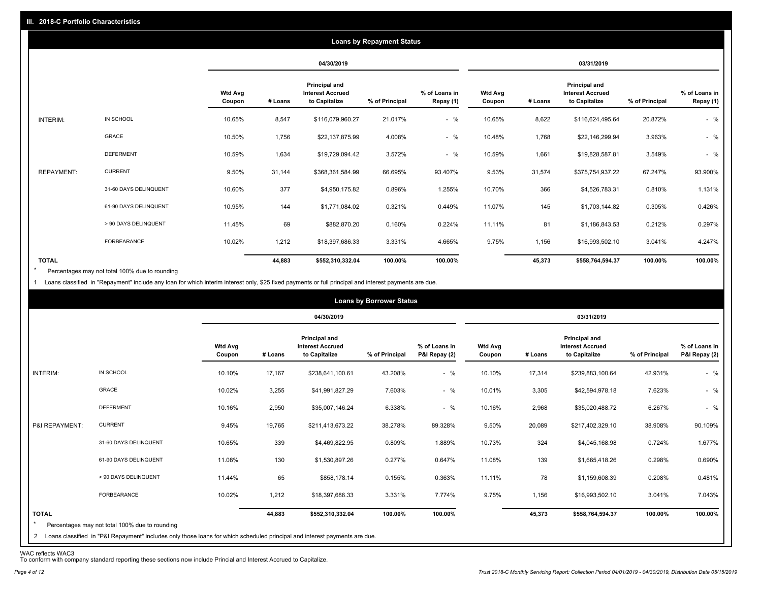|                   |                       |                          |         |                                                           | <b>Loans by Repayment Status</b> |                            |                          |         |                                                           |                |                            |
|-------------------|-----------------------|--------------------------|---------|-----------------------------------------------------------|----------------------------------|----------------------------|--------------------------|---------|-----------------------------------------------------------|----------------|----------------------------|
|                   |                       |                          |         | 04/30/2019                                                |                                  |                            |                          |         | 03/31/2019                                                |                |                            |
|                   |                       | <b>Wtd Avg</b><br>Coupon | # Loans | Principal and<br><b>Interest Accrued</b><br>to Capitalize | % of Principal                   | % of Loans in<br>Repay (1) | <b>Wtd Avg</b><br>Coupon | # Loans | Principal and<br><b>Interest Accrued</b><br>to Capitalize | % of Principal | % of Loans in<br>Repay (1) |
| INTERIM:          | IN SCHOOL             | 10.65%                   | 8,547   | \$116,079,960.27                                          | 21.017%                          | $-$ %                      | 10.65%                   | 8,622   | \$116,624,495.64                                          | 20.872%        | $-$ %                      |
|                   | GRACE                 | 10.50%                   | 1,756   | \$22,137,875.99                                           | 4.008%                           | $-$ %                      | 10.48%                   | 1,768   | \$22,146,299.94                                           | 3.963%         | $-$ %                      |
|                   | <b>DEFERMENT</b>      | 10.59%                   | 1,634   | \$19,729,094.42                                           | 3.572%                           | $-$ %                      | 10.59%                   | 1,661   | \$19,828,587.81                                           | 3.549%         | $-$ %                      |
| <b>REPAYMENT:</b> | <b>CURRENT</b>        | 9.50%                    | 31,144  | \$368,361,584.99                                          | 66.695%                          | 93.407%                    | 9.53%                    | 31,574  | \$375,754,937.22                                          | 67.247%        | 93.900%                    |
|                   | 31-60 DAYS DELINQUENT | 10.60%                   | 377     | \$4,950,175.82                                            | 0.896%                           | 1.255%                     | 10.70%                   | 366     | \$4,526,783.31                                            | 0.810%         | 1.131%                     |
|                   | 61-90 DAYS DELINQUENT | 10.95%                   | 144     | \$1,771,084.02                                            | 0.321%                           | 0.449%                     | 11.07%                   | 145     | \$1,703,144.82                                            | 0.305%         | 0.426%                     |
|                   | > 90 DAYS DELINQUENT  | 11.45%                   | 69      | \$882,870.20                                              | 0.160%                           | 0.224%                     | 11.11%                   | 81      | \$1,186,843.53                                            | 0.212%         | 0.297%                     |
|                   | FORBEARANCE           | 10.02%                   | 1,212   | \$18,397,686.33                                           | 3.331%                           | 4.665%                     | 9.75%                    | 1,156   | \$16,993,502.10                                           | 3.041%         | 4.247%                     |
| <b>TOTAL</b>      |                       |                          | 44,883  | \$552,310,332.04                                          | 100.00%                          | 100.00%                    |                          | 45,373  | \$558,764,594.37                                          | 100.00%        | 100.00%                    |

Percentages may not total 100% due to rounding \*

1 Loans classified in "Repayment" include any loan for which interim interest only, \$25 fixed payments or full principal and interest payments are due.

|                         |                                                                                                                              |                          |         |                                                                  | <b>Loans by Borrower Status</b> |                                |                          |         |                                                                  |                |                                |
|-------------------------|------------------------------------------------------------------------------------------------------------------------------|--------------------------|---------|------------------------------------------------------------------|---------------------------------|--------------------------------|--------------------------|---------|------------------------------------------------------------------|----------------|--------------------------------|
|                         |                                                                                                                              |                          |         | 04/30/2019                                                       |                                 |                                |                          |         | 03/31/2019                                                       |                |                                |
|                         |                                                                                                                              | <b>Wtd Avg</b><br>Coupon | # Loans | <b>Principal and</b><br><b>Interest Accrued</b><br>to Capitalize | % of Principal                  | % of Loans in<br>P&I Repay (2) | <b>Wtd Avg</b><br>Coupon | # Loans | <b>Principal and</b><br><b>Interest Accrued</b><br>to Capitalize | % of Principal | % of Loans in<br>P&I Repay (2) |
| INTERIM:                | IN SCHOOL                                                                                                                    | 10.10%                   | 17,167  | \$238,641,100.61                                                 | 43.208%                         | $-$ %                          | 10.10%                   | 17,314  | \$239,883,100.64                                                 | 42.931%        | $-$ %                          |
|                         | GRACE                                                                                                                        | 10.02%                   | 3,255   | \$41,991,827.29                                                  | 7.603%                          | $-$ %                          | 10.01%                   | 3,305   | \$42,594,978.18                                                  | 7.623%         | $-$ %                          |
|                         | <b>DEFERMENT</b>                                                                                                             | 10.16%                   | 2,950   | \$35,007,146.24                                                  | 6.338%                          | $-$ %                          | 10.16%                   | 2,968   | \$35,020,488.72                                                  | 6.267%         | $-$ %                          |
| P&I REPAYMENT:          | <b>CURRENT</b>                                                                                                               | 9.45%                    | 19,765  | \$211,413,673.22                                                 | 38.278%                         | 89.328%                        | 9.50%                    | 20,089  | \$217,402,329.10                                                 | 38.908%        | 90.109%                        |
|                         | 31-60 DAYS DELINQUENT                                                                                                        | 10.65%                   | 339     | \$4,469,822.95                                                   | 0.809%                          | 1.889%                         | 10.73%                   | 324     | \$4,045,168.98                                                   | 0.724%         | 1.677%                         |
|                         | 61-90 DAYS DELINQUENT                                                                                                        | 11.08%                   | 130     | \$1,530,897.26                                                   | 0.277%                          | 0.647%                         | 11.08%                   | 139     | \$1,665,418.26                                                   | 0.298%         | 0.690%                         |
|                         | > 90 DAYS DELINQUENT                                                                                                         | 11.44%                   | 65      | \$858,178.14                                                     | 0.155%                          | 0.363%                         | 11.11%                   | 78      | \$1,159,608.39                                                   | 0.208%         | 0.481%                         |
|                         | <b>FORBEARANCE</b>                                                                                                           | 10.02%                   | 1,212   | \$18,397,686.33                                                  | 3.331%                          | 7.774%                         | 9.75%                    | 1,156   | \$16,993,502.10                                                  | 3.041%         | 7.043%                         |
| <b>TOTAL</b><br>$\star$ | Percentages may not total 100% due to rounding                                                                               |                          | 44,883  | \$552,310,332.04                                                 | 100.00%                         | 100.00%                        |                          | 45,373  | \$558,764,594.37                                                 | 100.00%        | 100.00%                        |
|                         | 2 Loans classified in "P&I Repayment" includes only those loans for which scheduled principal and interest payments are due. |                          |         |                                                                  |                                 |                                |                          |         |                                                                  |                |                                |

WAC reflects WAC3 To conform with company standard reporting these sections now include Princial and Interest Accrued to Capitalize.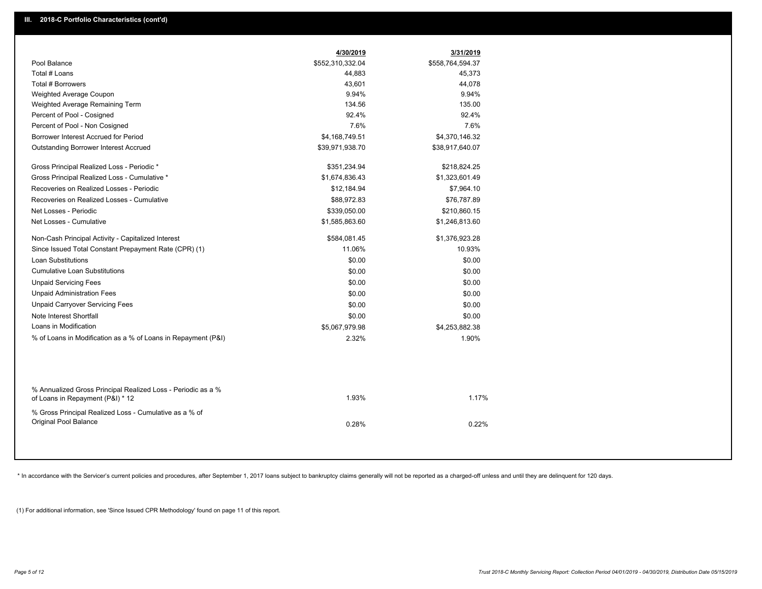|                                                                                                  | 4/30/2019        | 3/31/2019        |
|--------------------------------------------------------------------------------------------------|------------------|------------------|
| Pool Balance                                                                                     | \$552,310,332.04 | \$558,764,594.37 |
| Total # Loans                                                                                    | 44,883           | 45,373           |
| Total # Borrowers                                                                                | 43,601           | 44,078           |
| Weighted Average Coupon                                                                          | 9.94%            | 9.94%            |
| Weighted Average Remaining Term                                                                  | 134.56           | 135.00           |
| Percent of Pool - Cosigned                                                                       | 92.4%            | 92.4%            |
| Percent of Pool - Non Cosigned                                                                   | 7.6%             | 7.6%             |
| Borrower Interest Accrued for Period                                                             | \$4,168,749.51   | \$4,370,146.32   |
| <b>Outstanding Borrower Interest Accrued</b>                                                     | \$39,971,938.70  | \$38,917,640.07  |
| Gross Principal Realized Loss - Periodic *                                                       | \$351,234.94     | \$218,824.25     |
| Gross Principal Realized Loss - Cumulative *                                                     | \$1,674,836.43   | \$1,323,601.49   |
| Recoveries on Realized Losses - Periodic                                                         | \$12,184.94      | \$7,964.10       |
| Recoveries on Realized Losses - Cumulative                                                       | \$88,972.83      | \$76,787.89      |
| Net Losses - Periodic                                                                            | \$339,050.00     | \$210,860.15     |
| Net Losses - Cumulative                                                                          | \$1,585,863.60   | \$1,246,813.60   |
| Non-Cash Principal Activity - Capitalized Interest                                               | \$584,081.45     | \$1,376,923.28   |
| Since Issued Total Constant Prepayment Rate (CPR) (1)                                            | 11.06%           | 10.93%           |
| Loan Substitutions                                                                               | \$0.00           | \$0.00           |
| <b>Cumulative Loan Substitutions</b>                                                             | \$0.00           | \$0.00           |
| <b>Unpaid Servicing Fees</b>                                                                     | \$0.00           | \$0.00           |
| <b>Unpaid Administration Fees</b>                                                                | \$0.00           | \$0.00           |
| <b>Unpaid Carryover Servicing Fees</b>                                                           | \$0.00           | \$0.00           |
| Note Interest Shortfall                                                                          | \$0.00           | \$0.00           |
| Loans in Modification                                                                            | \$5,067,979.98   | \$4,253,882.38   |
| % of Loans in Modification as a % of Loans in Repayment (P&I)                                    | 2.32%            | 1.90%            |
|                                                                                                  |                  |                  |
| % Annualized Gross Principal Realized Loss - Periodic as a %<br>of Loans in Repayment (P&I) * 12 | 1.93%            | 1.17%            |
| % Gross Principal Realized Loss - Cumulative as a % of                                           |                  |                  |
| <b>Original Pool Balance</b>                                                                     | 0.28%            | 0.22%            |
|                                                                                                  |                  |                  |

\* In accordance with the Servicer's current policies and procedures, after September 1, 2017 loans subject to bankruptcy claims generally will not be reported as a charged-off unless and until they are delinquent for 120 d

(1) For additional information, see 'Since Issued CPR Methodology' found on page 11 of this report.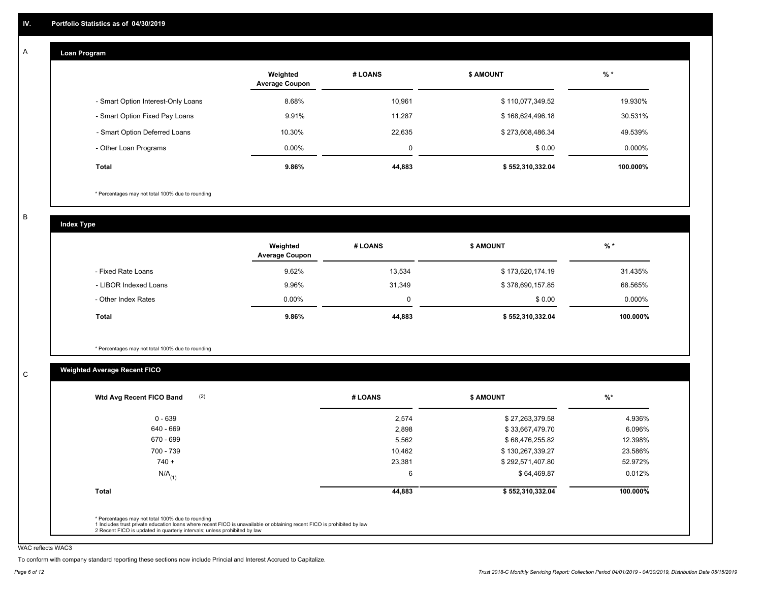#### **Loan Program**  A

|                                    | Weighted<br><b>Average Coupon</b> | # LOANS | <b>\$ AMOUNT</b> | $%$ *    |
|------------------------------------|-----------------------------------|---------|------------------|----------|
| - Smart Option Interest-Only Loans | 8.68%                             | 10,961  | \$110,077,349.52 | 19.930%  |
| - Smart Option Fixed Pay Loans     | 9.91%                             | 11.287  | \$168,624,496.18 | 30.531%  |
| - Smart Option Deferred Loans      | 10.30%                            | 22.635  | \$273,608,486.34 | 49.539%  |
| - Other Loan Programs              | $0.00\%$                          | 0       | \$0.00           | 0.000%   |
| <b>Total</b>                       | 9.86%                             | 44,883  | \$552,310,332.04 | 100.000% |

\* Percentages may not total 100% due to rounding

B

C

**Index Type**

|                       | Weighted<br><b>Average Coupon</b> | # LOANS     | <b>\$ AMOUNT</b> | $%$ *     |
|-----------------------|-----------------------------------|-------------|------------------|-----------|
| - Fixed Rate Loans    | 9.62%                             | 13,534      | \$173,620,174.19 | 31.435%   |
| - LIBOR Indexed Loans | 9.96%                             | 31,349      | \$378,690,157.85 | 68.565%   |
| - Other Index Rates   | $0.00\%$                          | $\mathbf 0$ | \$0.00           | $0.000\%$ |
| Total                 | 9.86%                             | 44,883      | \$552,310,332.04 | 100.000%  |

\* Percentages may not total 100% due to rounding

### **Weighted Average Recent FICO**

| 2,574<br>\$27,263,379.58<br>2,898<br>\$33,667,479.70<br>5,562<br>\$68,476,255.82 | 4.936%<br>6.096%<br>12.398%     |
|----------------------------------------------------------------------------------|---------------------------------|
|                                                                                  |                                 |
|                                                                                  |                                 |
|                                                                                  |                                 |
| 10,462<br>\$130,267,339.27                                                       | 23.586%                         |
| 23,381<br>\$292,571,407.80                                                       | 52.972%                         |
| 6                                                                                | 0.012%                          |
| 44,883                                                                           | 100.000%                        |
|                                                                                  | \$64,469.87<br>\$552,310,332.04 |

WAC reflects WAC3

To conform with company standard reporting these sections now include Princial and Interest Accrued to Capitalize.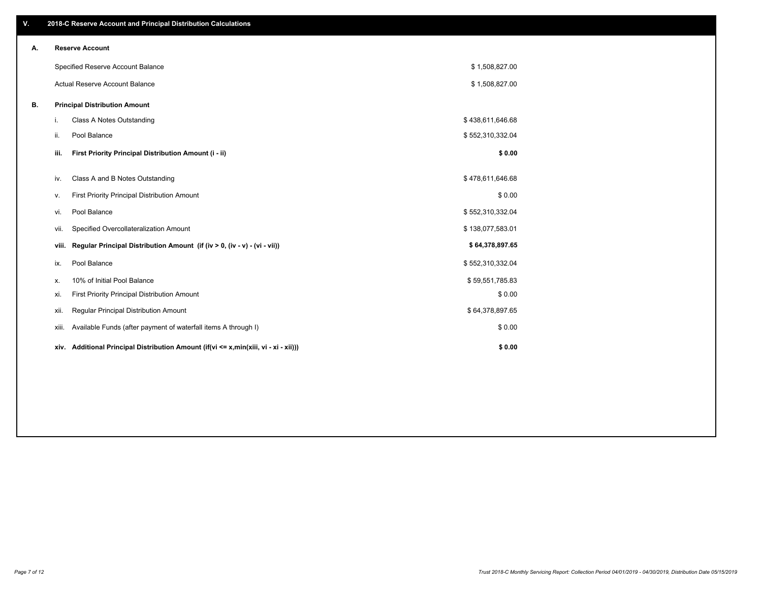| V. |       | 2018-C Reserve Account and Principal Distribution Calculations                             |                  |  |
|----|-------|--------------------------------------------------------------------------------------------|------------------|--|
| А. |       | <b>Reserve Account</b>                                                                     |                  |  |
|    |       | Specified Reserve Account Balance                                                          | \$1,508,827.00   |  |
|    |       | Actual Reserve Account Balance                                                             | \$1,508,827.00   |  |
| В. |       | <b>Principal Distribution Amount</b>                                                       |                  |  |
|    | i.    | <b>Class A Notes Outstanding</b>                                                           | \$438,611,646.68 |  |
|    | ii.   | Pool Balance                                                                               | \$552,310,332.04 |  |
|    | iii.  | First Priority Principal Distribution Amount (i - ii)                                      | \$0.00           |  |
|    | iv.   | Class A and B Notes Outstanding                                                            | \$478,611,646.68 |  |
|    | ν.    | First Priority Principal Distribution Amount                                               | \$0.00           |  |
|    | vi.   | Pool Balance                                                                               | \$552,310,332.04 |  |
|    | vii.  | Specified Overcollateralization Amount                                                     | \$138,077,583.01 |  |
|    | viii. | Regular Principal Distribution Amount (if (iv > 0, (iv - v) - (vi - vii))                  | \$64,378,897.65  |  |
|    | ix.   | Pool Balance                                                                               | \$552,310,332.04 |  |
|    | х.    | 10% of Initial Pool Balance                                                                | \$59,551,785.83  |  |
|    | xi.   | First Priority Principal Distribution Amount                                               | \$0.00           |  |
|    | xii.  | Regular Principal Distribution Amount                                                      | \$64,378,897.65  |  |
|    | xiii. | Available Funds (after payment of waterfall items A through I)                             | \$0.00           |  |
|    |       | xiv. Additional Principal Distribution Amount (if $(vi \le x, min(xiii, vi - xi - xii))$ ) | \$0.00           |  |
|    |       |                                                                                            |                  |  |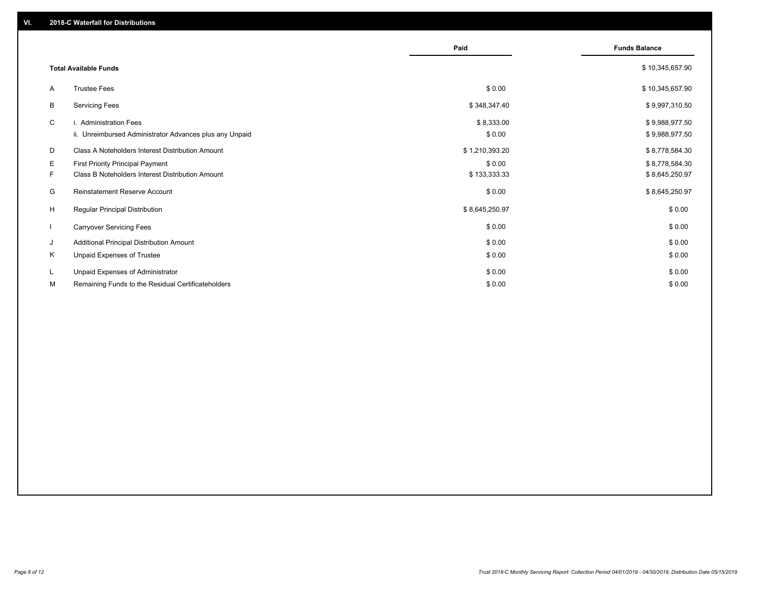|    |                                                         | Paid           | <b>Funds Balance</b> |
|----|---------------------------------------------------------|----------------|----------------------|
|    | <b>Total Available Funds</b>                            |                | \$10,345,657.90      |
| A  | <b>Trustee Fees</b>                                     | \$0.00         | \$10,345,657.90      |
| В  | <b>Servicing Fees</b>                                   | \$348,347.40   | \$9,997,310.50       |
| C  | i. Administration Fees                                  | \$8,333.00     | \$9,988,977.50       |
|    | ii. Unreimbursed Administrator Advances plus any Unpaid | \$0.00         | \$9,988,977.50       |
| D  | <b>Class A Noteholders Interest Distribution Amount</b> | \$1,210,393.20 | \$8,778,584.30       |
| Е  | First Priority Principal Payment                        | \$0.00         | \$8,778,584.30       |
| F. | <b>Class B Noteholders Interest Distribution Amount</b> | \$133,333.33   | \$8,645,250.97       |
| G  | <b>Reinstatement Reserve Account</b>                    | \$0.00         | \$8,645,250.97       |
| H  | Regular Principal Distribution                          | \$8,645,250.97 | \$0.00               |
|    | <b>Carryover Servicing Fees</b>                         | \$0.00         | \$0.00               |
| J  | Additional Principal Distribution Amount                | \$0.00         | \$0.00               |
| Κ  | Unpaid Expenses of Trustee                              | \$0.00         | \$0.00               |
| L  | Unpaid Expenses of Administrator                        | \$0.00         | \$0.00               |
| М  | Remaining Funds to the Residual Certificateholders      | \$0.00         | \$0.00               |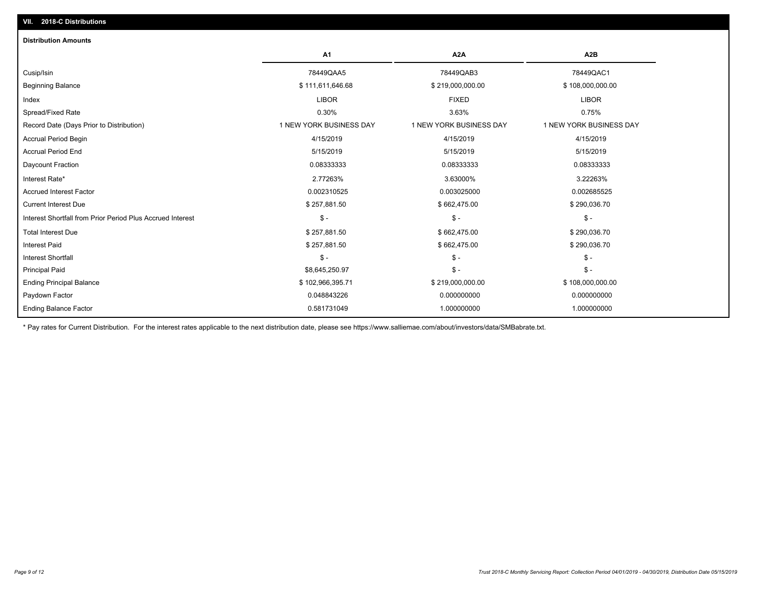| A <sub>1</sub>          | A <sub>2</sub> A        | A2B                     |
|-------------------------|-------------------------|-------------------------|
| 78449QAA5               | 78449QAB3               | 78449QAC1               |
| \$111,611,646.68        | \$219,000,000.00        | \$108,000,000.00        |
| <b>LIBOR</b>            | <b>FIXED</b>            | <b>LIBOR</b>            |
| 0.30%                   | 3.63%                   | 0.75%                   |
| 1 NEW YORK BUSINESS DAY | 1 NEW YORK BUSINESS DAY | 1 NEW YORK BUSINESS DAY |
| 4/15/2019               | 4/15/2019               | 4/15/2019               |
| 5/15/2019               | 5/15/2019               | 5/15/2019               |
| 0.08333333              | 0.08333333              | 0.08333333              |
| 2.77263%                | 3.63000%                | 3.22263%                |
| 0.002310525             | 0.003025000             | 0.002685525             |
| \$257,881.50            | \$662,475.00            | \$290,036.70            |
| $\mathsf{\$}$ -         | $\mathsf{\$}$ -         | $\mathsf{\$}$ -         |
| \$257,881.50            | \$662,475.00            | \$290,036.70            |
| \$257,881.50            | \$662,475.00            | \$290,036.70            |
| $\frac{2}{3}$ -         | $\mathsf{\$}$ -         | $$ -$                   |
| \$8,645,250.97          | $\mathsf{\$}$ -         | $$ -$                   |
| \$102,966,395.71        | \$219,000,000.00        | \$108,000,000.00        |
| 0.048843226             | 0.000000000             | 0.000000000             |
| 0.581731049             | 1.000000000             | 1.000000000             |
|                         |                         |                         |

\* Pay rates for Current Distribution. For the interest rates applicable to the next distribution date, please see https://www.salliemae.com/about/investors/data/SMBabrate.txt.

**VII. 2018-C Distributions**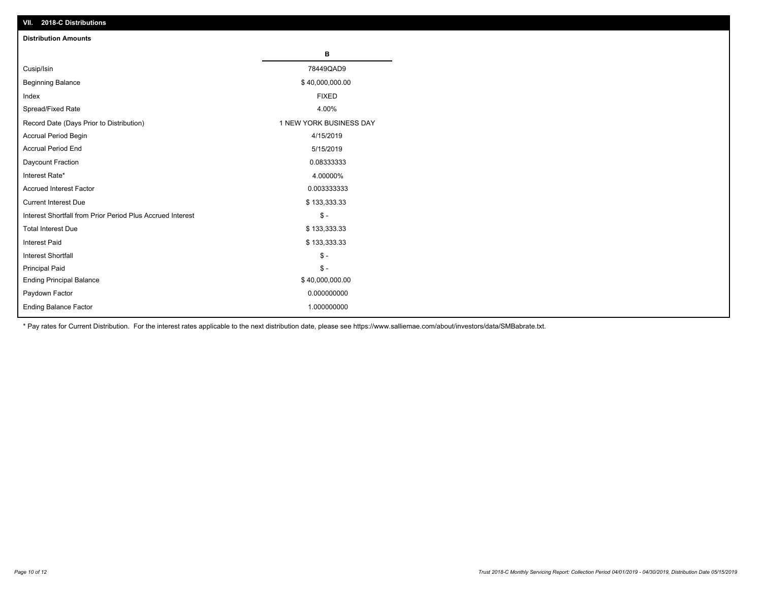| VII. 2018-C Distributions                                  |                         |
|------------------------------------------------------------|-------------------------|
| <b>Distribution Amounts</b>                                |                         |
|                                                            | в                       |
| Cusip/Isin                                                 | 78449QAD9               |
| <b>Beginning Balance</b>                                   | \$40,000,000.00         |
| Index                                                      | <b>FIXED</b>            |
| Spread/Fixed Rate                                          | 4.00%                   |
| Record Date (Days Prior to Distribution)                   | 1 NEW YORK BUSINESS DAY |
| Accrual Period Begin                                       | 4/15/2019               |
| <b>Accrual Period End</b>                                  | 5/15/2019               |
| Daycount Fraction                                          | 0.08333333              |
| Interest Rate*                                             | 4.00000%                |
| <b>Accrued Interest Factor</b>                             | 0.003333333             |
| <b>Current Interest Due</b>                                | \$133,333.33            |
| Interest Shortfall from Prior Period Plus Accrued Interest | $$ -$                   |
| <b>Total Interest Due</b>                                  | \$133,333.33            |
| Interest Paid                                              | \$133,333.33            |
| <b>Interest Shortfall</b>                                  | $$ -$                   |
| <b>Principal Paid</b>                                      | $$ -$                   |
| <b>Ending Principal Balance</b>                            | \$40,000,000.00         |
| Paydown Factor                                             | 0.000000000             |
| <b>Ending Balance Factor</b>                               | 1.000000000             |

\* Pay rates for Current Distribution. For the interest rates applicable to the next distribution date, please see https://www.salliemae.com/about/investors/data/SMBabrate.txt.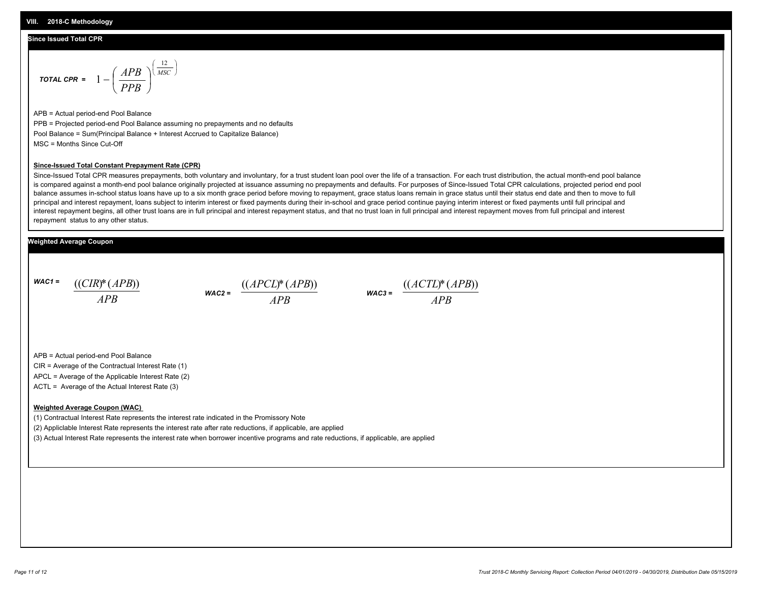#### **Since Issued Total CPR**

$$
\text{total CPR} = 1 - \left(\frac{APB}{PPB}\right)^{\left(\frac{12}{MSC}\right)}
$$

APB = Actual period-end Pool Balance PPB = Projected period-end Pool Balance assuming no prepayments and no defaults Pool Balance = Sum(Principal Balance + Interest Accrued to Capitalize Balance) MSC = Months Since Cut-Off

#### **Since-Issued Total Constant Prepayment Rate (CPR)**

Since-Issued Total CPR measures prepayments, both voluntary and involuntary, for a trust student loan pool over the life of a transaction. For each trust distribution, the actual month-end pool balance is compared against a month-end pool balance originally projected at issuance assuming no prepayments and defaults. For purposes of Since-Issued Total CPR calculations, projected period end pool balance assumes in-school status loans have up to a six month grace period before moving to repayment, grace status loans remain in grace status until their status end date and then to move to full principal and interest repayment, loans subject to interim interest or fixed payments during their in-school and grace period continue paying interim interest or fixed payments until full principal and interest repayment begins, all other trust loans are in full principal and interest repayment status, and that no trust loan in full principal and interest repayment moves from full principal and interest repayment status to any other status.

#### **Weighted Average Coupon**

*WAC1 = APB* ((*CIR*)\*(*APB*))

*WAC2 = APB*



APB = Actual period-end Pool Balance

CIR = Average of the Contractual Interest Rate (1)

APCL = Average of the Applicable Interest Rate (2)

ACTL = Average of the Actual Interest Rate (3)

#### **Weighted Average Coupon (WAC)**

(1) Contractual Interest Rate represents the interest rate indicated in the Promissory Note

(2) Appliclable Interest Rate represents the interest rate after rate reductions, if applicable, are applied

(3) Actual Interest Rate represents the interest rate when borrower incentive programs and rate reductions, if applicable, are applied